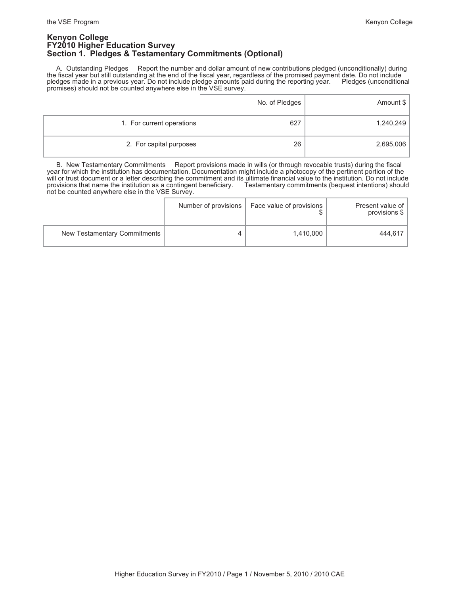### **Kenyon College FY2010 Higher Education Survey Section 1. Pledges & Testamentary Commitments (Optional)**

 A. Outstanding Pledges Report the number and dollar amount of new contributions pledged (unconditionally) during the fiscal year but still outstanding at the end of the fiscal year, regardless of the promised payment date. Do not include pledges made in a previous year. Do not include pledge amounts paid during the reporting year. Pledges (unconditional promises) should not be counted anywhere else in the VSE survey.

|                           | No. of Pledges | Amount \$ |
|---------------------------|----------------|-----------|
| 1. For current operations | 627            | 1,240,249 |
| 2. For capital purposes   | 26             | 2,695,006 |

 B. New Testamentary Commitments Report provisions made in wills (or through revocable trusts) during the fiscal year for which the institution has documentation. Documentation might include a photocopy of the pertinent portion of the will or trust document or a letter describing the commitment and its ultimate financial value to the institution. Do not include provisions that name the institution as a contingent beneficiary. Testamentary commitments (b provisions that name the institution as a contingent beneficiary. not be counted anywhere else in the VSE Survey.

|                              | Number of provisions | Face value of provisions | Present value of<br>provisions \$ |
|------------------------------|----------------------|--------------------------|-----------------------------------|
| New Testamentary Commitments |                      | 1.410.000                | 444.617                           |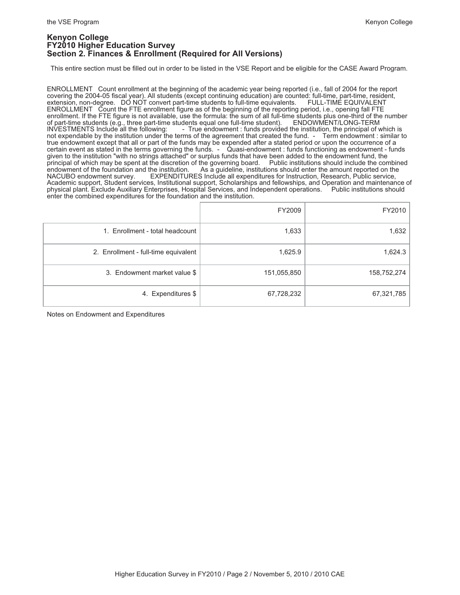### **Kenyon College FY2010 Higher Education Survey Section 2. Finances & Enrollment (Required for All Versions)**

This entire section must be filled out in order to be listed in the VSE Report and be eligible for the CASE Award Program.

ENROLLMENT Count enrollment at the beginning of the academic year being reported (i.e., fall of 2004 for the report covering the 2004-05 fiscal year). All students (except continuing education) are counted: full-time, part-time, resident, extension, non-degree. DO NOT convert part-time students to full-time equivalents. FULL-TIME EQUIVA extension, non-degree. DO NOT convert part-time students to full-time equivalents. ENROLLMENT Count the FTE enrollment figure as of the beginning of the reporting period, i.e., opening fall FTE enrollment. If the FTE figure is not available, use the formula: the sum of all full-time students plus one-third of the number<br>of part-time students (e.g., three part-time students equal one full-time student). ENDOWMENT/ of part-time students (e.g., three part-time students equal one full-time student). ENDOWMENT/LONG-TERM INVESTMENTS Include all the following: - True endowment : funds provided the institution, the principal of which is not expendable by the institution under the terms of the agreement that created the fund. - Term endowment : similar to true endowment except that all or part of the funds may be expended after a stated period or upon the occurrence of a certain event as stated in the terms governing the funds. - Quasi-endowment : funds functioning as endowment - funds given to the institution "with no strings attached" or surplus funds that have been added to the endowment fund, the<br>principal of which may be spent at the discretion of the governing board. Public institutions should incl principal of which may be spent at the discretion of the governing board.<br>endowment of the foundation and the institution. As a guideline, institutions endowment of the foundation and the institution. As a guideline, institutions should enter the amount reported on the NACUBO endowment survey. EXPENDITURES Include all expenditures for Instruction, Research, Public service EXPENDITURES Include all expenditures for Instruction, Research, Public service, Academic support, Student services, Institutional support, Scholarships and fellowships, and Operation and maintenance of physical plant. Exclude Auxiliary Enterprises, Hospital Services, and Independent operations. Public institutions should enter the combined expenditures for the foundation and the institution.

|                                      | FY2009      | FY2010      |
|--------------------------------------|-------------|-------------|
| 1. Enrollment - total headcount      | 1,633       | 1,632       |
| 2. Enrollment - full-time equivalent | 1,625.9     | 1,624.3     |
| 3. Endowment market value \$         | 151,055,850 | 158,752,274 |
| 4. Expenditures \$                   | 67,728,232  | 67,321,785  |

Notes on Endowment and Expenditures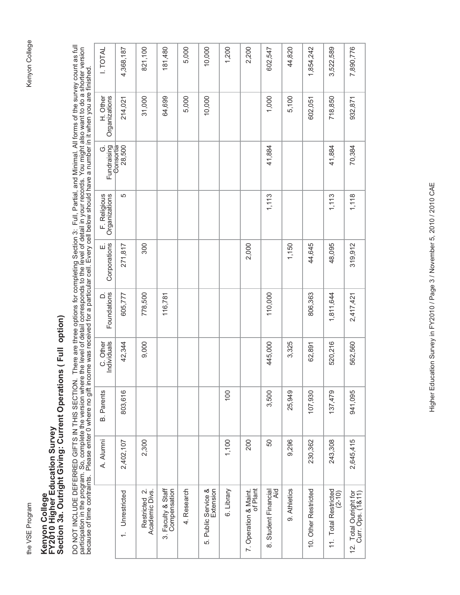# Kenyon College

# Kenyon College<br>FY2010 Higher Education Survey<br>Section 3a. Outright Giving: Current Operations ( Full option) **Section 3a. Outright Giving: Current Operations ( Full option) FY2010 Higher Education Survey Kenyon College**

DO NOT INCLUDE DEFERRED GIFTS IN THIS SECTION. There are three options for completing Section 3: Full, Partial, and Minimal. All forms of the survey count as full<br>participation in the program. So, complete the version wher DO NOT INCLUDE DEFERRED GIFTS IN THIS SECTION. There are three options for completing Section 3: Full, Partial, and Minimal. All forms of the survey count as full participation in the program. So, complete the version where the level of detail corresponds to the level of detail in your records. You might also want to do a shorter version because of time contraints. Please enter 0 where no gift income was received for a particular cell. Every cell below should have a number in it when you are finished.

| I. TOTAL                      | 4,368,187       | 821,100                         | 181,480                            | 5,000       | 10,000                           | 1,200      | 2,200                             | 602,547                     | 44,820       | 1,854,242            | 3,522,589                          | 7,890,776                                   |
|-------------------------------|-----------------|---------------------------------|------------------------------------|-------------|----------------------------------|------------|-----------------------------------|-----------------------------|--------------|----------------------|------------------------------------|---------------------------------------------|
| H. Other<br>Organizations     | 214,021         | 31,000                          | 64,699                             | 5,000       | 10,000                           |            |                                   | 1,000                       | 5,100        | 602,051              | 718,850                            | 932,871                                     |
| Fundraising<br>- Consortia    | 28,500          |                                 |                                    |             |                                  |            |                                   | 41,884                      |              |                      | 41,884                             | 70,384                                      |
| F. Religious<br>Organizations | 5               |                                 |                                    |             |                                  |            |                                   | 1,113                       |              |                      | 1,113                              | 1,118                                       |
| E.<br>Corporations            | 271,817         | 300                             |                                    |             |                                  |            | 2,000                             |                             | 1,150        | 44,645               | 48,095                             | 319,912                                     |
| Foundations                   | 605,777         | 778,500                         | 116,781                            |             |                                  |            |                                   | 110,000                     |              | 806,363              | 1,811,644                          | 2,417,421                                   |
| C. Other<br>Individuals       | 42,344          | 9,000                           |                                    |             |                                  |            |                                   | 445,000                     | 3,325        | 62,891               | 520,216                            | 562,560                                     |
| <b>B.</b> Parents             | 803,616         |                                 |                                    |             |                                  | 100        |                                   | 3,500                       | 25,949       | 107,930              | 137,479                            | 941,095                                     |
| A. Alumni                     | 2,402,107       | 2,300                           |                                    |             |                                  | 1,100      | 200                               | 50                          | 9,296        | 230,362              | 243,308                            | 2,645,415                                   |
|                               | 1. Unrestricted | Restricted 2.<br>Academic Divs. | 3. Faculty & Staff<br>Compensation | 4. Research | 5. Public Service &<br>Extension | 6. Library | of Plant<br>7. Operation & Maint. | Aid<br>8. Student Financial | 9. Athletics | 10. Other Restricted | 11. Total Restricted<br>$(2 - 10)$ | 12. Total Outright for<br>Curr. Ops. (1&11) |
|                               |                 |                                 |                                    |             |                                  |            |                                   |                             |              |                      |                                    |                                             |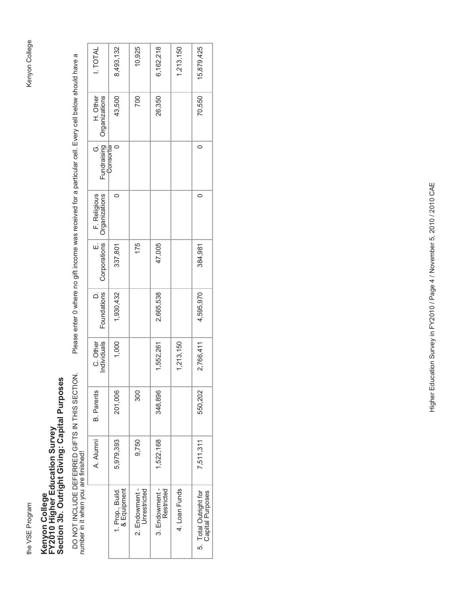# Kenyon College the VSE Program Kenyon College

# Kenyon College<br>FY2010 Higher Education Survey<br>Section 3b. Outright Giving: Capital Purposes **Section 3b. Outright Giving: Capital Purposes FY2010 Higher Education Survey Kenyon College**

DO NOT INCLUDE DEFERRED GIFTS IN THIS SECTION.<br>number in it when you are finished! number in it when you are finished!

Please enter 0 where no gift income was received for a particular cell. Every cell below should have a DO NOT INCLUDE DEFERRED GIFTS IN THIS ARRED GIFTS IN THIS SECTION. Please enter 0 where no gift income was received for a particular cell. Every cell below should have a

| <b>I. TOTAL</b>                                    | 8,493,132                       | 10,925                         | 6,162,218                    | 1,213,150     | 15,879,425                                |
|----------------------------------------------------|---------------------------------|--------------------------------|------------------------------|---------------|-------------------------------------------|
| H. Other<br>Fundraising Organizations<br>Consortia | 43,500                          | 700                            | 26,350                       |               | 70,550                                    |
| $\dot{\circ}$                                      |                                 |                                |                              |               |                                           |
| E. F. Religious<br>Corporations Organizations      | 0                               |                                |                              |               | 0                                         |
| $\frac{1}{2}$                                      | 337,801                         | 175                            | 47,005                       |               | 384,981                                   |
| Foundations                                        | 1,930,432                       |                                | 2,665,538                    |               | 4,595,970                                 |
| C. Other<br>Individuals                            | 1,000                           |                                | 1,552,261                    | 1,213,150     | 2,766,411                                 |
| <b>B.</b> Parents                                  | 201,006                         | 300                            | 348,896                      |               | 550,202                                   |
| A. Alumni                                          | 5,979,393                       | 9,750                          | 1,522,168                    |               | 7,511,311                                 |
|                                                    | 1. Prop., Build.<br>& Equipment | 2. Endowment -<br>Unrestricted | 3. Endowment -<br>Restricted | 4. Loan Funds | 5. Total Outright for<br>Capital Purposes |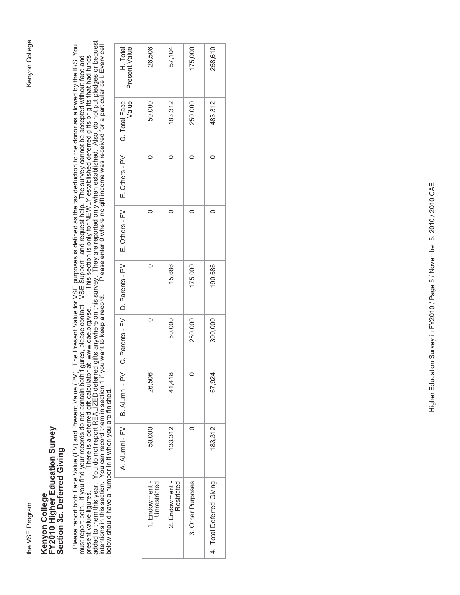# Kenyon College the VSE Program Kenyon College

## Kenyon College<br>FY2010 Higher Education Survey<br>Section 3c. Deferred Giving **FY2010 Higher Education Survey Section 3c. Deferred Giving Kenyon College**

Please report both Face Value (FV) and Present Value (PV). The Present Value for VSE purposes is defined as the tax deduction to the donor as allowed by the IRS. You<br>must report both. If you find your records do not contai added to them this year. You do not report REALIZED deferred gifts anywhere on this survey. They are reported only when established. Also, do not put pledges or bequest Please report both Face Value (FV) and Present Value (PV). The Present Value for VSE purposes is defined as the tax deduction to the donor as allowed by the IRS. You intentions in this section. You can record them in section 1 if you want to keep a record. Please enter 0 where no gift income was received for a particular cell. Every cell present value figures. There is a deferred gift calculator at www.cae.org/vse. This section is only for NEWLY established deferred gifts or gifts that had funds must report both. If you find your records do not contain both figures, please contact VSE Support and request help. The survey cannot be accepted without face and below should have a number in it when you are finished.

|                  | 26,506     | 50,000  |
|------------------|------------|---------|
| 15,686<br>50,000 | ∞<br>41,41 | 133,312 |
|                  |            |         |
| 175,000          |            |         |
| 250,000          | $\circ$    |         |
|                  |            |         |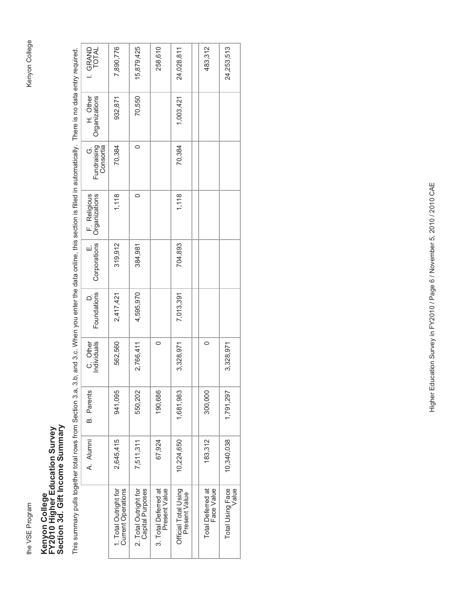the VSE Program

## Kenyon College<br>FY2010 Higher Education Survey<br>Section 3d. Gift Income Summary **Section 3d. Gift Income Summary FY2010 Higher Education Survey Kenyon College**

This summary pulls together total rows from Section 3.a, 3.b, and 3.c. When you enter the data online, this section is filled in automatically. There is no data entry required. This summary pulls together total rows from Section 3.a, 3.b, and 3.c. When you enter the data online, this section is filled in automatically. There is no data entry required.

| I. GRAND<br>TOTAL              | 7,890,776                                          | 15,879,425                                | 258,610                               | 24,028,811                            | 483,312                                | 24,253,513                |
|--------------------------------|----------------------------------------------------|-------------------------------------------|---------------------------------------|---------------------------------------|----------------------------------------|---------------------------|
| H. Other<br>Organizations      | 932,871                                            | 70,550                                    |                                       | 1,003,421                             |                                        |                           |
| G.<br>Fundraising<br>Consortia | 70,384                                             | $\circ$                                   |                                       | 70,384                                |                                        |                           |
| F. Religious<br>Organizations  | 1,118                                              | O                                         |                                       | 1,118                                 |                                        |                           |
| E.<br>Corporations             | 319,912                                            | 384,981                                   |                                       | 704,893                               |                                        |                           |
| Foundations                    | 2,417,421                                          | 4,595,970                                 |                                       | 7,013,391                             |                                        |                           |
| C. Other<br>Individuals        | 562,560                                            | 2,766,411                                 | 0                                     | 3,328,971                             | 0                                      | 3,328,971                 |
| <b>B.</b> Parents              | 941,095                                            | 550,202                                   | 190,686                               | 1,681,983                             | 300,000                                | 1,791,297                 |
| A. Alumni                      | 2,645,415                                          | 7,511,311                                 | 67,924                                | 10,224,650                            | 183,312                                | 10,340,038                |
|                                | 1. Total Outright for<br><b>Current Operations</b> | 2. Total Outright for<br>Capital Purposes | 3. Total Deferred at<br>Present Value | Official Total Using<br>Present Value | <b>Total Deferred at</b><br>Face Value | Total Using Face<br>Value |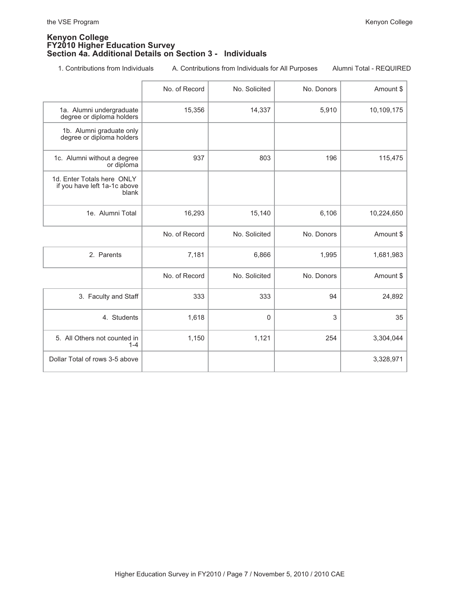### **Kenyon College FY2010 Higher Education Survey Section 4a. Additional Details on Section 3 - Individuals**

1. Contributions from Individuals A. Contributions from Individuals for All Purposes Alumni Total - REQUIRED

|                                                                     | No. of Record | No. Solicited | No. Donors | Amount \$  |
|---------------------------------------------------------------------|---------------|---------------|------------|------------|
| 1a. Alumni undergraduate<br>degree or diploma holders               | 15,356        | 14,337        | 5,910      | 10,109,175 |
| 1b. Alumni graduate only<br>degree or diploma holders               |               |               |            |            |
| 1c. Alumni without a degree<br>or diploma                           | 937           | 803           | 196        | 115,475    |
| 1d. Enter Totals here ONLY<br>if you have left 1a-1c above<br>blank |               |               |            |            |
| 1e. Alumni Total                                                    | 16,293        | 15,140        | 6,106      | 10,224,650 |
|                                                                     | No. of Record | No. Solicited | No. Donors | Amount \$  |
| 2. Parents                                                          | 7,181         | 6,866         | 1,995      | 1,681,983  |
|                                                                     | No. of Record | No. Solicited | No. Donors | Amount \$  |
| 3. Faculty and Staff                                                | 333           | 333           | 94         | 24,892     |
| 4. Students                                                         | 1,618         | $\mathbf{0}$  | 3          | 35         |
| 5. All Others not counted in<br>$1 - 4$                             | 1,150         | 1,121         | 254        | 3,304,044  |
| Dollar Total of rows 3-5 above                                      |               |               |            | 3,328,971  |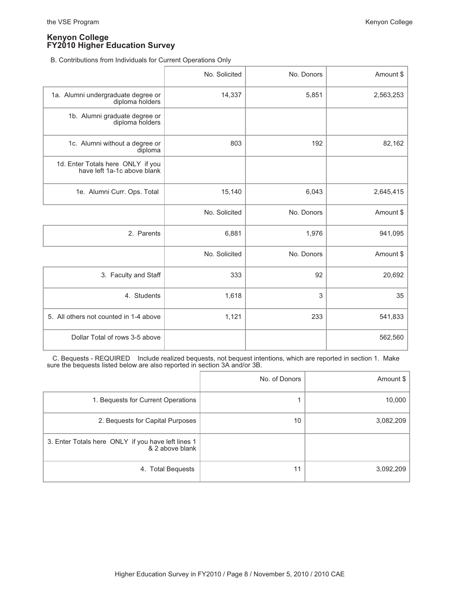B. Contributions from Individuals for Current Operations Only

|                                                                  | No. Solicited | No. Donors | Amount \$ |
|------------------------------------------------------------------|---------------|------------|-----------|
| 1a. Alumni undergraduate degree or<br>diploma holders            | 14,337        | 5,851      | 2,563,253 |
| 1b. Alumni graduate degree or<br>diploma holders                 |               |            |           |
| 1c. Alumni without a degree or<br>diploma                        | 803           | 192        | 82,162    |
| 1d. Enter Totals here ONLY if you<br>have left 1a-1c above blank |               |            |           |
| 1e. Alumni Curr. Ops. Total                                      | 15,140        | 6,043      | 2,645,415 |
|                                                                  | No. Solicited | No. Donors | Amount \$ |
| 2. Parents                                                       | 6,881         | 1,976      | 941,095   |
|                                                                  | No. Solicited | No. Donors | Amount \$ |
| 3. Faculty and Staff                                             | 333           | 92         | 20,692    |
| 4. Students                                                      | 1,618         | 3          | 35        |
| 5. All others not counted in 1-4 above                           | 1,121         | 233        | 541,833   |
| Dollar Total of rows 3-5 above                                   |               |            | 562,560   |

 C. Bequests - REQUIRED Include realized bequests, not bequest intentions, which are reported in section 1. Make sure the bequests listed below are also reported in section 3A and/or 3B.

|                                                                       | No. of Donors | Amount $\frac{1}{2}$ |
|-----------------------------------------------------------------------|---------------|----------------------|
| 1. Bequests for Current Operations                                    |               | 10,000               |
| 2. Bequests for Capital Purposes                                      | 10            | 3,082,209            |
| 3. Enter Totals here ONLY if you have left lines 1<br>& 2 above blank |               |                      |
| 4. Total Bequests                                                     | 11            | 3,092,209            |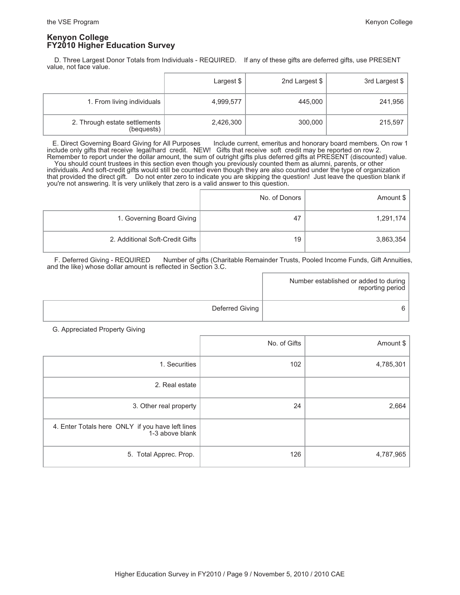D. Three Largest Donor Totals from Individuals - REQUIRED. If any of these gifts are deferred gifts, use PRESENT value, not face value.

|                                             | Largest \$ | 2nd Largest \$ | 3rd Largest \$ |
|---------------------------------------------|------------|----------------|----------------|
| 1. From living individuals                  | 4,999,577  | 445,000        | 241,956        |
| 2. Through estate settlements<br>(bequests) | 2,426,300  | 300,000        | 215,597        |

 E. Direct Governing Board Giving for All Purposes Include current, emeritus and honorary board members. On row 1 include only gifts that receive legal/hard credit. NEW! Gifts that receive soft credit may be reported on row 2. Remember to report under the dollar amount, the sum of outright gifts plus deferred gifts at PRESENT (discounted) value. You should count trustees in this section even though you previously counted them as alumni, parents, or other individuals. And soft-credit gifts would still be counted even though they are also counted under the type of organization

that provided the direct gift. Do not enter zero to indicate you are skipping the question! Just leave the question blank if you're not answering. It is very unlikely that zero is a valid answer to this question.

|                                 | No. of Donors | Amount \$ |
|---------------------------------|---------------|-----------|
| 1. Governing Board Giving       | 47            | 1,291,174 |
| 2. Additional Soft-Credit Gifts | 19            | 3,863,354 |

 F. Deferred Giving - REQUIRED Number of gifts (Charitable Remainder Trusts, Pooled Income Funds, Gift Annuities, and the like) whose dollar amount is reflected in Section 3.C.

|                 | Number established or added to during  <br>reporting period |
|-----------------|-------------------------------------------------------------|
| Deferred Giving |                                                             |

G. Appreciated Property Giving

|                                                                     | No. of Gifts | Amount \$ |
|---------------------------------------------------------------------|--------------|-----------|
| 1. Securities                                                       | 102          | 4,785,301 |
| 2. Real estate                                                      |              |           |
| 3. Other real property                                              | 24           | 2,664     |
| 4. Enter Totals here ONLY if you have left lines<br>1-3 above blank |              |           |
| 5. Total Apprec. Prop.                                              | 126          | 4,787,965 |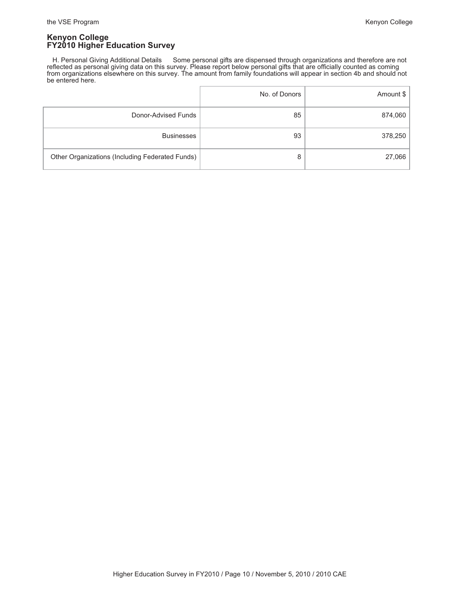H. Personal Giving Additional Details Some personal gifts are dispensed through organizations and therefore are not reflected as personal giving data on this survey. Please report below personal gifts that are officially counted as coming from organizations elsewhere on this survey. The amount from family foundations will appear in section 4b and should not be entered here.

|                                                 | No. of Donors | Amount \$ |
|-------------------------------------------------|---------------|-----------|
| Donor-Advised Funds                             | 85            | 874,060   |
| <b>Businesses</b>                               | 93            | 378,250   |
| Other Organizations (Including Federated Funds) | 8             | 27,066    |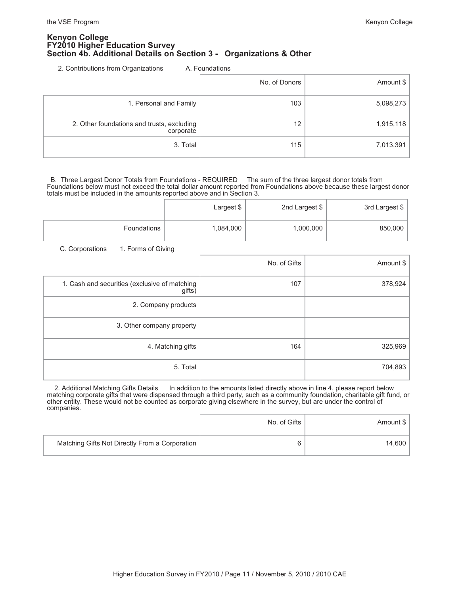### **Kenyon College FY2010 Higher Education Survey Section 4b. Additional Details on Section 3 - Organizations & Other**

2. Contributions from Organizations A. Foundations

|                                                         | No. of Donors | Amount \$ |
|---------------------------------------------------------|---------------|-----------|
| 1. Personal and Family                                  | 103           | 5,098,273 |
| 2. Other foundations and trusts, excluding<br>corporate | 12            | 1,915,118 |
| 3. Total                                                | 115           | 7,013,391 |

 B. Three Largest Donor Totals from Foundations - REQUIRED The sum of the three largest donor totals from Foundations below must not exceed the total dollar amount reported from Foundations above because these largest donor totals must be included in the amounts reported above and in Section 3.

|             | Largest \$ | 2nd Largest \$ | 3rd Largest \$ |
|-------------|------------|----------------|----------------|
| Foundations | 1,084,000  | 1,000,000      | 850,000        |

C. Corporations 1. Forms of Giving

|                                                         | No. of Gifts | Amount \$ |
|---------------------------------------------------------|--------------|-----------|
| 1. Cash and securities (exclusive of matching<br>gifts) | 107          | 378,924   |
| 2. Company products                                     |              |           |
| 3. Other company property                               |              |           |
| 4. Matching gifts                                       | 164          | 325,969   |
| 5. Total                                                |              | 704,893   |

2. Additional Matching Gifts Details In addition to the amounts listed directly above in line 4, please report below matching corporate gifts that were dispensed through a third party, such as a community foundation, charitable gift fund, or other entity. These would not be counted as corporate giving elsewhere in the survey, but are under the control of companies.

|                                                | No. of Gifts | Amount \$ |
|------------------------------------------------|--------------|-----------|
| Matching Gifts Not Directly From a Corporation | 6            | 14.600    |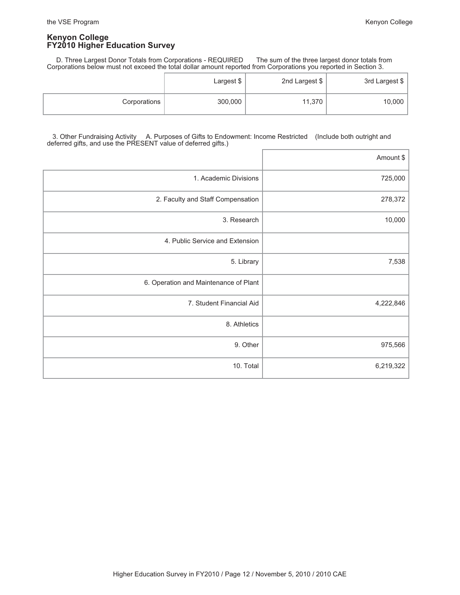D. Three Largest Donor Totals from Corporations - REQUIRED The sum of the three largest donor totals from Corporations below must not exceed the total dollar amount reported from Corporations you reported in Section 3.

|              | Largest \$ | 2nd Largest \$ | 3rd Largest \$ |
|--------------|------------|----------------|----------------|
| Corporations | 300,000    | 11,370         | 10,000         |

### 3. Other Fundraising Activity A. Purposes of Gifts to Endowment: Income Restricted (Include both outright and deferred gifts, and use the PRESENT value of deferred gifts.)

|                                       | Amount \$ |
|---------------------------------------|-----------|
| 1. Academic Divisions                 | 725,000   |
| 2. Faculty and Staff Compensation     | 278,372   |
| 3. Research                           | 10,000    |
| 4. Public Service and Extension       |           |
| 5. Library                            | 7,538     |
| 6. Operation and Maintenance of Plant |           |
| 7. Student Financial Aid              | 4,222,846 |
| 8. Athletics                          |           |
| 9. Other                              | 975,566   |
| 10. Total                             | 6,219,322 |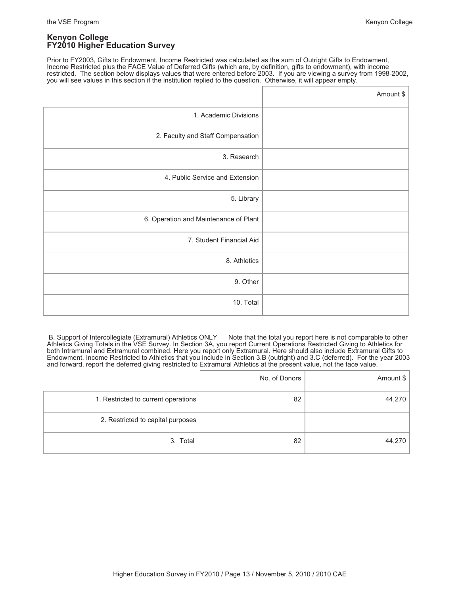Prior to FY2003, Gifts to Endowment, Income Restricted was calculated as the sum of Outright Gifts to Endowment, Income Restricted plus the FACE Value of Deferred Gifts (which are, by definition, gifts to endowment), with income restricted. The section below displays values that were entered before 2003. If you are viewing a survey from 1998-2002, you will see values in this section if the institution replied to the question. Otherwise, it will appear empty.

|                                       | Amount \$ |
|---------------------------------------|-----------|
| 1. Academic Divisions                 |           |
| 2. Faculty and Staff Compensation     |           |
| 3. Research                           |           |
| 4. Public Service and Extension       |           |
| 5. Library                            |           |
| 6. Operation and Maintenance of Plant |           |
| 7. Student Financial Aid              |           |
| 8. Athletics                          |           |
| 9. Other                              |           |
| 10. Total                             |           |

B. Support of Intercollegiate (Extramural) Athletics ONLY Note that the total you report here is not comparable to other Athletics Giving Totals in the VSE Survey. In Section 3A, you report Current Operations Restricted Giving to Athletics for both Intramural and Extramural combined. Here you report only Extramural. Here should also include Extramural Gifts to Endowment, Income Restricted to Athletics that you include in Section 3.B (outright) and 3.C (deferred). For the year 2003 and forward, report the deferred giving restricted to Extramural Athletics at the present value, not the face value.

|                                     | No. of Donors | Amount \$ |
|-------------------------------------|---------------|-----------|
| 1. Restricted to current operations | 82            | 44,270    |
| 2. Restricted to capital purposes   |               |           |
| 3. Total                            | 82            | 44,270    |